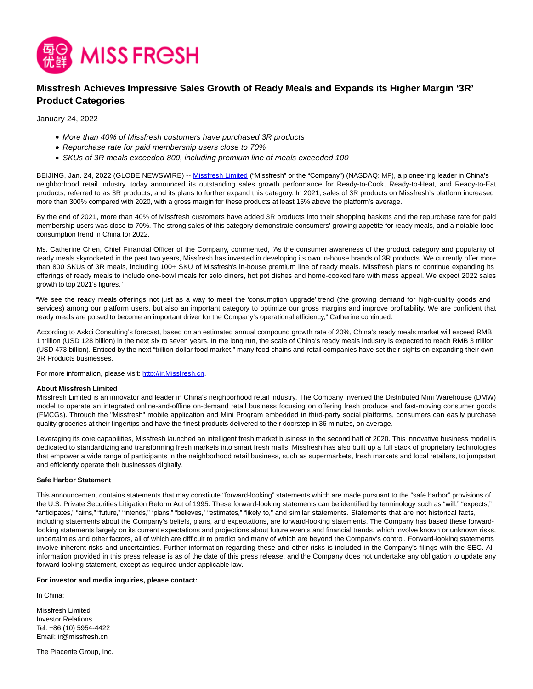

## **Missfresh Achieves Impressive Sales Growth of Ready Meals and Expands its Higher Margin '3R' Product Categories**

January 24, 2022

- More than 40% of Missfresh customers have purchased 3R products
- Repurchase rate for paid membership users close to 70%
- SKUs of 3R meals exceeded 800, including premium line of meals exceeded 100

BEIJING, Jan. 24, 2022 (GLOBE NEWSWIRE) -- [Missfresh Limited \(](https://www.globenewswire.com/Tracker?data=NevbZRf7XHPIDs6Ow_E5YLHhizQT8ylXlN38TFuFISfSKm_kdjT9-3BJVLrtCbQB5g5cP9cIpf2EY96XfhHAww==)"Missfresh" or the "Company") (NASDAQ: MF), a pioneering leader in China's neighborhood retail industry, today announced its outstanding sales growth performance for Ready-to-Cook, Ready-to-Heat, and Ready-to-Eat products, referred to as 3R products, and its plans to further expand this category. In 2021, sales of 3R products on Missfresh's platform increased more than 300% compared with 2020, with a gross margin for these products at least 15% above the platform's average.

By the end of 2021, more than 40% of Missfresh customers have added 3R products into their shopping baskets and the repurchase rate for paid membership users was close to 70%. The strong sales of this category demonstrate consumers' growing appetite for ready meals, and a notable food consumption trend in China for 2022.

Ms. Catherine Chen, Chief Financial Officer of the Company, commented, "As the consumer awareness of the product category and popularity of ready meals skyrocketed in the past two years, Missfresh has invested in developing its own in-house brands of 3R products. We currently offer more than 800 SKUs of 3R meals, including 100+ SKU of Missfresh's in-house premium line of ready meals. Missfresh plans to continue expanding its offerings of ready meals to include one-bowl meals for solo diners, hot pot dishes and home-cooked fare with mass appeal. We expect 2022 sales growth to top 2021's figures."

"We see the ready meals offerings not just as a way to meet the 'consumption upgrade' trend (the growing demand for high-quality goods and services) among our platform users, but also an important category to optimize our gross margins and improve profitability. We are confident that ready meals are poised to become an important driver for the Company's operational efficiency," Catherine continued.

According to Askci Consulting's forecast, based on an estimated annual compound growth rate of 20%, China's ready meals market will exceed RMB 1 trillion (USD 128 billion) in the next six to seven years. In the long run, the scale of China's ready meals industry is expected to reach RMB 3 trillion (USD 473 billion). Enticed by the next "trillion-dollar food market," many food chains and retail companies have set their sights on expanding their own 3R Products businesses.

For more information, please visit: [http://ir.Missfresh.cn.](https://www.globenewswire.com/Tracker?data=KKQRH2-0e36tafIlCcGgKbr9ybDAfJA-HLIyX1_sdOl8Oa0mc7dbk1OKzPEBQoC_ICRJXnx7OVwZDfmPjnoAVpX1wUZWFpdgEXG0GaIPjiI=)

## **About Missfresh Limited**

Missfresh Limited is an innovator and leader in China's neighborhood retail industry. The Company invented the Distributed Mini Warehouse (DMW) model to operate an integrated online-and-offline on-demand retail business focusing on offering fresh produce and fast-moving consumer goods (FMCGs). Through the "Missfresh" mobile application and Mini Program embedded in third-party social platforms, consumers can easily purchase quality groceries at their fingertips and have the finest products delivered to their doorstep in 36 minutes, on average.

Leveraging its core capabilities, Missfresh launched an intelligent fresh market business in the second half of 2020. This innovative business model is dedicated to standardizing and transforming fresh markets into smart fresh malls. Missfresh has also built up a full stack of proprietary technologies that empower a wide range of participants in the neighborhood retail business, such as supermarkets, fresh markets and local retailers, to jumpstart and efficiently operate their businesses digitally.

## **Safe Harbor Statement**

This announcement contains statements that may constitute "forward-looking" statements which are made pursuant to the "safe harbor" provisions of the U.S. Private Securities Litigation Reform Act of 1995. These forward-looking statements can be identified by terminology such as "will," "expects," "anticipates," "aims," "future," "intends," "plans," "believes," "estimates," "likely to," and similar statements. Statements that are not historical facts, including statements about the Company's beliefs, plans, and expectations, are forward-looking statements. The Company has based these forwardlooking statements largely on its current expectations and projections about future events and financial trends, which involve known or unknown risks, uncertainties and other factors, all of which are difficult to predict and many of which are beyond the Company's control. Forward-looking statements involve inherent risks and uncertainties. Further information regarding these and other risks is included in the Company's filings with the SEC. All information provided in this press release is as of the date of this press release, and the Company does not undertake any obligation to update any forward-looking statement, except as required under applicable law.

## **For investor and media inquiries, please contact:**

In China:

Missfresh Limited Investor Relations Tel: +86 (10) 5954-4422 Email: ir@missfresh.cn

The Piacente Group, Inc.